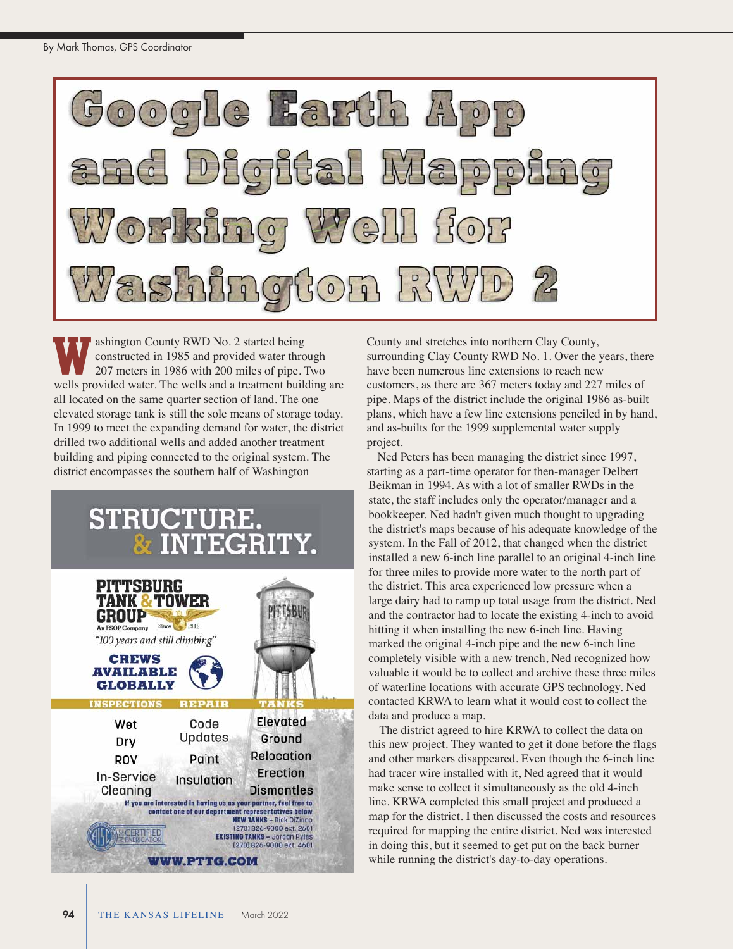

ashington County RWD No. 2 started being constructed in 1985 and provided water through 207 meters in 1986 with 200 miles of pipe. Two ashington County RWD No. 2 started being<br>constructed in 1985 and provided water through<br>207 meters in 1986 with 200 miles of pipe. Two<br>wells provided water. The wells and a treatment building are all located on the same quarter section of land. The one elevated storage tank is still the sole means of storage today. In 1999 to meet the expanding demand for water, the district drilled two additional wells and added another treatment building and piping connected to the original system. The district encompasses the southern half of Washington

## STRUCTURE.<br>& INTEGRITY.



County and stretches into northern Clay County, surrounding Clay County RWD No. 1. Over the years, there have been numerous line extensions to reach new customers, as there are 367 meters today and 227 miles of pipe. Maps of the district include the original 1986 as-built plans, which have a few line extensions penciled in by hand, and as-builts for the 1999 supplemental water supply project.

Ned Peters has been managing the district since 1997, starting as a part-time operator for then-manager Delbert Beikman in 1994. As with a lot of smaller RWDs in the state, the staff includes only the operator/manager and a bookkeeper. Ned hadn't given much thought to upgrading the district's maps because of his adequate knowledge of the system. In the Fall of 2012, that changed when the district installed a new 6-inch line parallel to an original 4-inch line for three miles to provide more water to the north part of the district. This area experienced low pressure when a large dairy had to ramp up total usage from the district. Ned and the contractor had to locate the existing 4-inch to avoid hitting it when installing the new 6-inch line. Having marked the original 4-inch pipe and the new 6-inch line completely visible with a new trench, Ned recognized how valuable it would be to collect and archive these three miles of waterline locations with accurate GPS technology. Ned contacted KRWA to learn what it would cost to collect the data and produce a map.

The district agreed to hire KRWA to collect the data on this new project. They wanted to get it done before the flags and other markers disappeared. Even though the 6-inch line had tracer wire installed with it, Ned agreed that it would make sense to collect it simultaneously as the old 4-inch line. KRWA completed this small project and produced a map for the district. I then discussed the costs and resources required for mapping the entire district. Ned was interested in doing this, but it seemed to get put on the back burner while running the district's day-to-day operations.